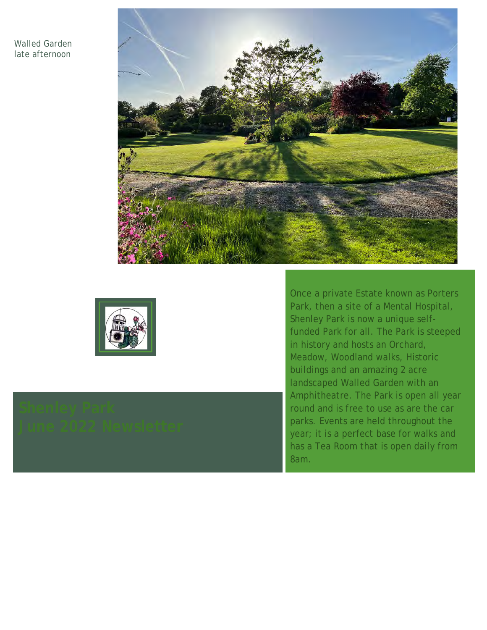## Walled Garden late afternoon





Once a private Estate known as Porters Park, then a site of a Mental Hospital, Shenley Park is now a unique selffunded Park for all. The Park is steeped in history and hosts an Orchard, Meadow, Woodland walks, Historic buildings and an amazing 2 acre landscaped Walled Garden with an Amphitheatre. The Park is open all year round and is free to use as are the car parks. Events are held throughout the year; it is a perfect base for walks and has a Tea Room that is open daily from 8am.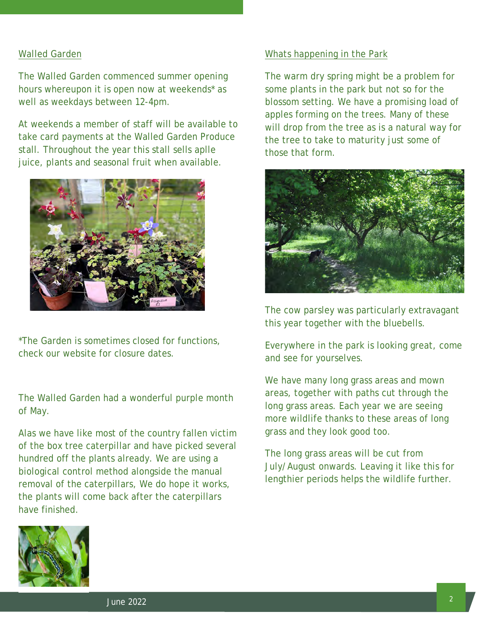## Walled Garden

The Walled Garden commenced summer opening hours whereupon it is open now at weekends\* as well as weekdays between 12-4pm.

At weekends a member of staff will be available to take card payments at the Walled Garden Produce stall. Throughout the year this stall sells aplle juice, plants and seasonal fruit when available.



\*The Garden is sometimes closed for functions, check our website for closure dates.

The Walled Garden had a wonderful purple month of May.

Alas we have like most of the country fallen victim of the box tree caterpillar and have picked several hundred off the plants already. We are using a biological control method alongside the manual removal of the caterpillars, We do hope it works, the plants will come back after the caterpillars have finished.



#### Whats happening in the Park

The warm dry spring might be a problem for some plants in the park but not so for the blossom setting. We have a promising load of apples forming on the trees. Many of these will drop from the tree as is a natural way for the tree to take to maturity just some of those that form.



The cow parsley was particularly extravagant this year together with the bluebells.

Everywhere in the park is looking great, come and see for yourselves.

We have many long grass areas and mown areas, together with paths cut through the long grass areas. Each year we are seeing more wildlife thanks to these areas of long grass and they look good too.

The long grass areas will be cut from July/August onwards. Leaving it like this for lengthier periods helps the wildlife further.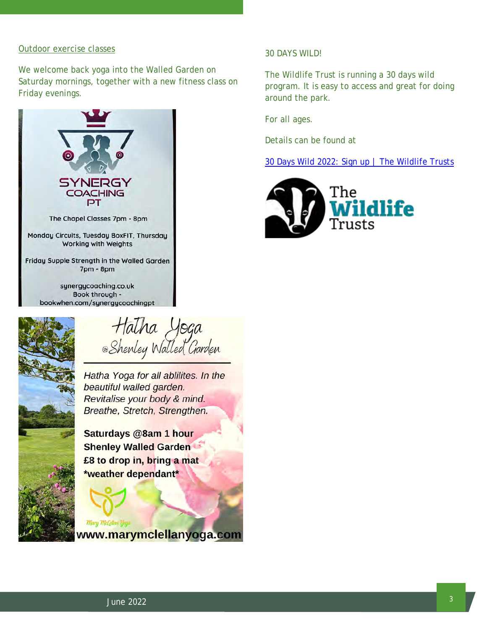#### Outdoor exercise classes

We welcome back yoga into the Walled Garden on Saturday mornings, together with a new fitness class on Friday evenings.





Hatha Yoga<br>Shenley Walled Garden

Hatha Yoga for all ablilites. In the beautiful walled garden. Revitalise your body & mind. Breathe, Stretch, Strengthen.

Saturdays @8am 1 hour **Shenley Walled Garden** £8 to drop in, bring a mat \*weather dependant\*



www.marymclellanyoga.com

## 30 DAYS WILD!

The Wildlife Trust is running a 30 days wild program. It is easy to access and great for doing around the park.

For all ages.

Details can be found at

[30 Days Wild 2022: Sign up | The Wildlife Trusts](https://www.wildlifetrusts.org/30dayswild)

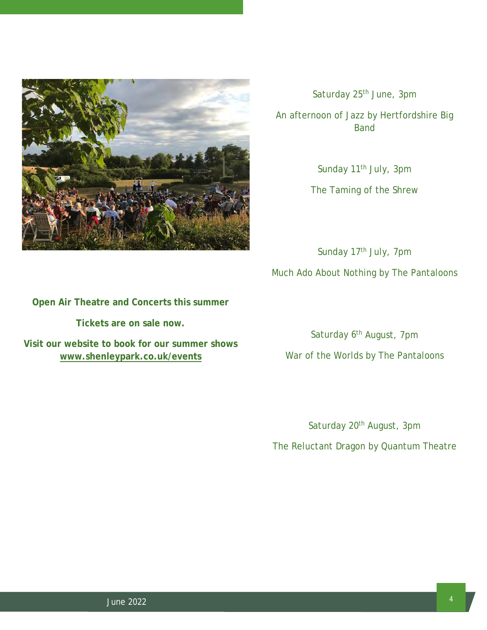

Saturday 25<sup>th</sup> June, 3pm

An afternoon of Jazz by Hertfordshire Big Band

> Sunday 11<sup>th</sup> July, 3pm The Taming of the Shrew

Sunday 17<sup>th</sup> July, 7pm Much Ado About Nothing by The Pantaloons

# **Open Air Theatre and Concerts this summer**

**Tickets are on sale now.**

**Visit our website to book for our summer shows [www.shenleypark.co.uk/events](http://www.shenleypark.co.uk/events)**

Saturday 6<sup>th</sup> August, 7pm War of the Worlds by The Pantaloons

Saturday 20<sup>th</sup> August, 3pm

The Reluctant Dragon by Quantum Theatre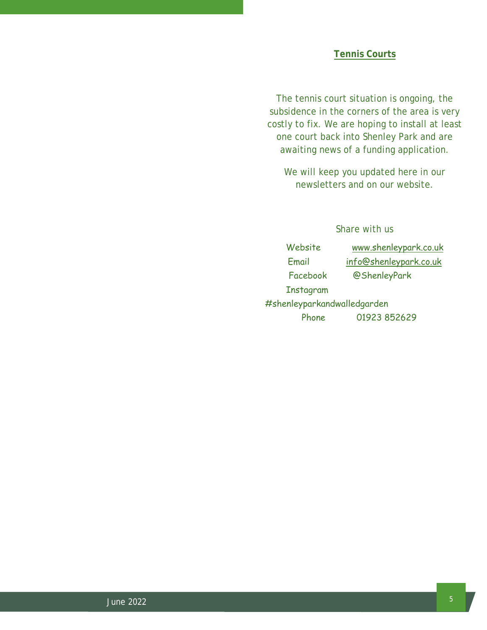The tennis court situation is ongoing, the subsidence in the corners of the area is very costly to fix. We are hoping to install at least one court back into Shenley Park and are awaiting news of a funding application.

We will keep you updated here in our newsletters and on our website.

# Share with us

Website [www.shenleypark.co.uk](http://www.shenleypark.co.uk/) 

Email [info@shenleypark.co.uk](mailto:info@shenleypark.co.uk)

Facebook @ShenleyPark

Instagram

#shenleyparkandwalledgarden Phone 01923 852629

<sup>5</sup> June 2022